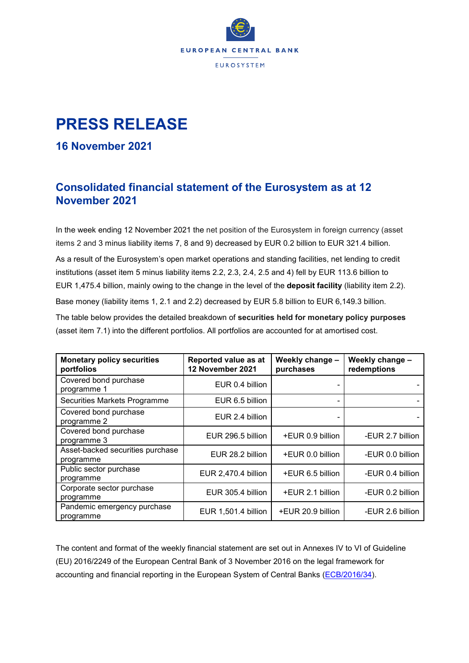

## **PRESS RELEASE**

## **16 November 2021**

## **Consolidated financial statement of the Eurosystem as at 12 November 2021**

In the week ending 12 November 2021 the net position of the Eurosystem in foreign currency (asset items 2 and 3 minus liability items 7, 8 and 9) decreased by EUR 0.2 billion to EUR 321.4 billion.

As a result of the Eurosystem's open market operations and standing facilities, net lending to credit institutions (asset item 5 minus liability items 2.2, 2.3, 2.4, 2.5 and 4) fell by EUR 113.6 billion to EUR 1,475.4 billion, mainly owing to the change in the level of the **deposit facility** (liability item 2.2). Base money (liability items 1, 2.1 and 2.2) decreased by EUR 5.8 billion to EUR 6,149.3 billion. The table below provides the detailed breakdown of **securities held for monetary policy purposes** (asset item 7.1) into the different portfolios. All portfolios are accounted for at amortised cost.

| <b>Monetary policy securities</b><br>portfolios | Reported value as at<br>12 November 2021 | Weekly change -<br>purchases | Weekly change -<br>redemptions |  |
|-------------------------------------------------|------------------------------------------|------------------------------|--------------------------------|--|
| Covered bond purchase<br>programme 1            | EUR 0.4 billion                          |                              |                                |  |
| Securities Markets Programme                    | EUR 6.5 billion                          |                              |                                |  |
| Covered bond purchase<br>programme 2            | EUR 2.4 billion                          |                              |                                |  |
| Covered bond purchase<br>programme 3            | EUR 296.5 billion                        | +EUR 0.9 billion             | -EUR 2.7 billion               |  |
| Asset-backed securities purchase<br>programme   | EUR 28.2 billion                         | +EUR 0.0 billion             | -EUR 0.0 billion               |  |
| Public sector purchase<br>programme             | EUR 2,470.4 billion                      | +EUR 6.5 billion             | -EUR 0.4 billion               |  |
| Corporate sector purchase<br>programme          | EUR 305.4 billion                        | +EUR 2.1 billion             | -EUR 0.2 billion               |  |
| Pandemic emergency purchase<br>programme        | EUR 1,501.4 billion                      | +EUR 20.9 billion            | -EUR 2.6 billion               |  |

The content and format of the weekly financial statement are set out in Annexes IV to VI of Guideline (EU) 2016/2249 of the European Central Bank of 3 November 2016 on the legal framework for accounting and financial reporting in the European System of Central Banks [\(ECB/2016/34\)](https://eur-lex.europa.eu/legal-content/EN/TXT/?qid=1599130224518&uri=CELEX:32016O0034).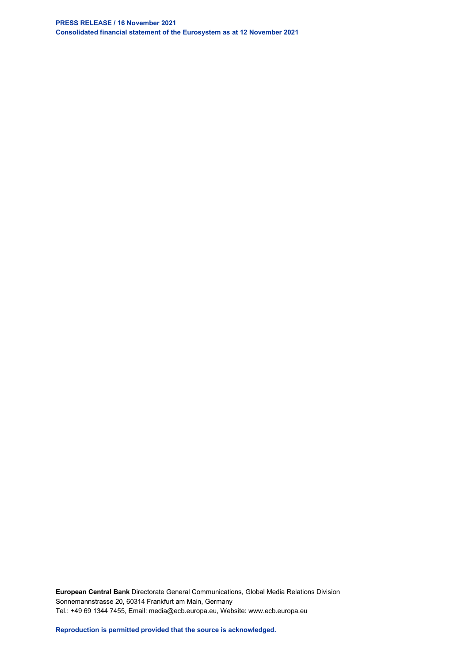**PRESS RELEASE / 16 November 2021 Consolidated financial statement of the Eurosystem as at 12 November 2021**

**European Central Bank** Directorate General Communications, Global Media Relations Division Sonnemannstrasse 20, 60314 Frankfurt am Main, Germany Tel.: +49 69 1344 7455, Email: media@ecb.europa.eu, Website: www.ecb.europa.eu